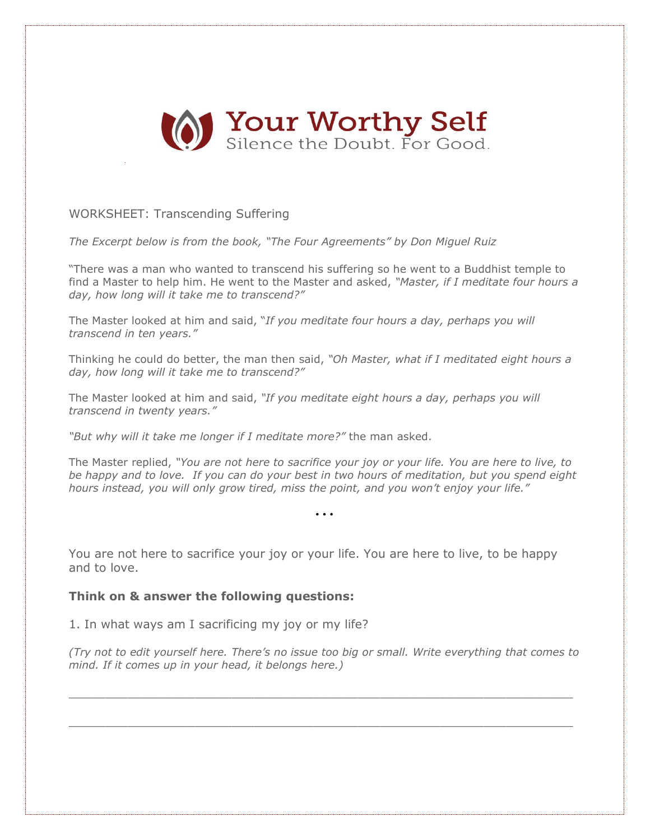

## WORKSHEET: Transcending Suffering

*The Excerpt below is from the book, "The Four [Agreements](http://amzn.to/18Oudtq)" by Don Miguel Ruiz*

"There was a man who wanted to transcend his suffering so he went to a Buddhist temple to find a Master to help him. He went to the Master and asked, *"Master, if I meditate four hours a day, how long will it take me to transcend?"*

The Master looked at him and said, "*If you meditate four hours a day, perhaps you will transcend in ten years."*

Thinking he could do better, the man then said, *"Oh Master, what if I meditated eight hours a day, how long will it take me to transcend?"*

The Master looked at him and said, *"If you meditate eight hours a day, perhaps you will transcend in twenty years."*

*"But why will it take me longer if I meditate more?"* the man asked.

The Master replied, *"You are not here to sacrifice your joy or your life. You are here to live, to* be happy and to love. If you can do your best in two hours of meditation, but you spend eight *hours instead, you will only grow tired, miss the point, and you won't enjoy your life."*

*…*

You are not here to sacrifice your joy or your life. You are here to live, to be happy and to love.

## **Think on & answer the following questions:**

1. In what ways am I sacrificing my joy or my life?

*(Try not to edit yourself here. There's no issue too big or small. Write everything that comes to mind. If it comes up in your head, it belongs here.)*

 $\_$  , and the set of the set of the set of the set of the set of the set of the set of the set of the set of the set of the set of the set of the set of the set of the set of the set of the set of the set of the set of th

 $\_$  , and the set of the set of the set of the set of the set of the set of the set of the set of the set of the set of the set of the set of the set of the set of the set of the set of the set of the set of the set of th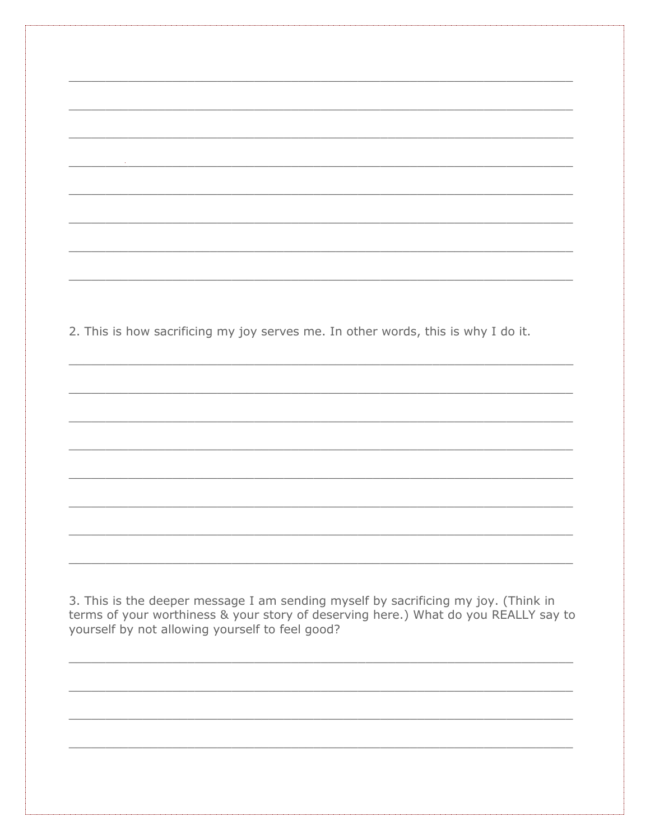2. This is how sacrificing my joy serves me. In other words, this is why I do it.

3. This is the deeper message I am sending myself by sacrificing my joy. (Think in terms of your worthiness & your story of deserving here.) What do you REALLY say to yourself by not allowing yourself to feel good?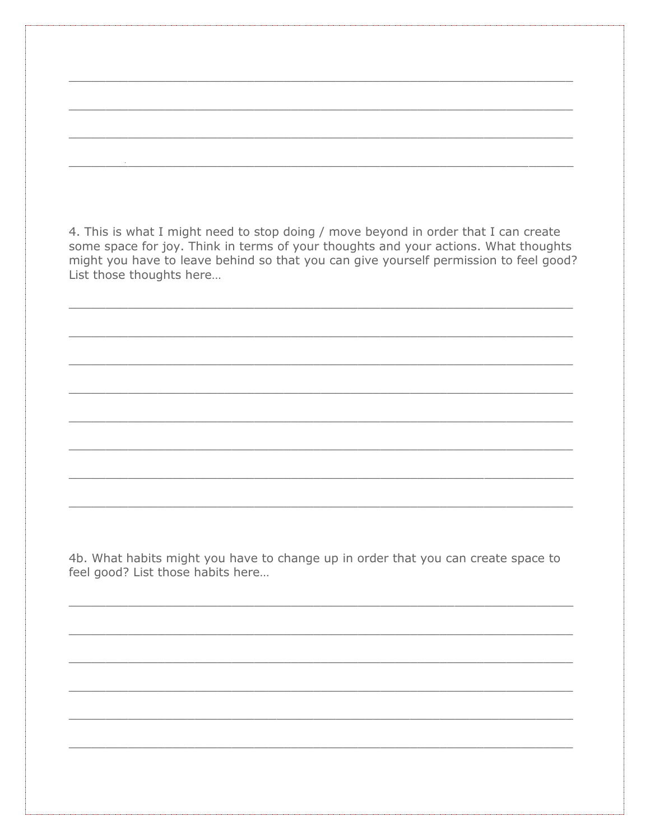4. This is what I might need to stop doing / move beyond in order that I can create some space for joy. Think in terms of your thoughts and your actions. What thoughts might you have to leave behind so that you can give yourself permission to feel good? List those thoughts here...

4b. What habits might you have to change up in order that you can create space to feel good? List those habits here...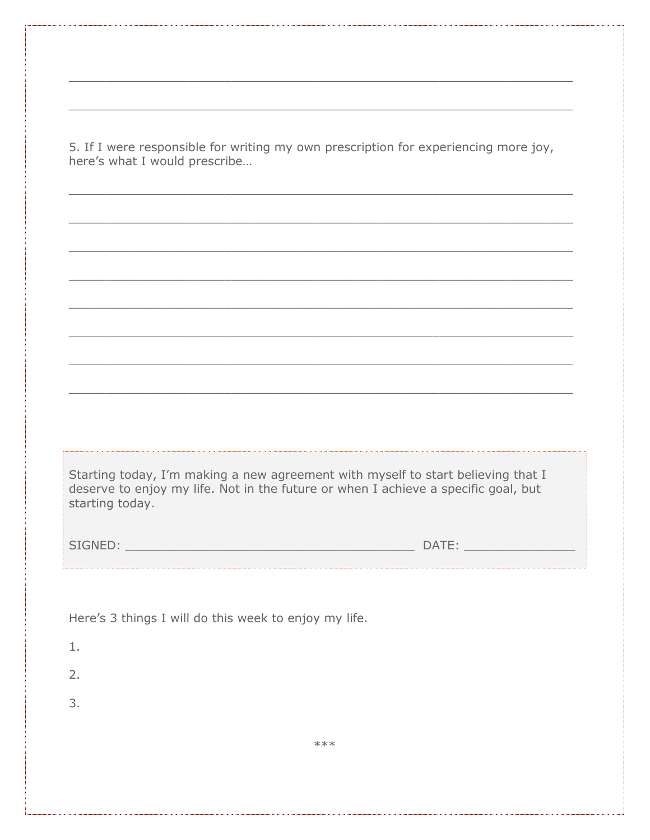5. If I were responsible for writing my own prescription for experiencing more joy, here's what I would prescribe...

Starting today, I'm making a new agreement with myself to start believing that I deserve to enjoy my life. Not in the future or when I achieve a specific goal, but starting today.

| CTCNIED              | $\Gamma$ $\Lambda$ $\top$ $\Gamma$ |
|----------------------|------------------------------------|
| $\sim$ $\sim$ $\sim$ | 111                                |
| . . <u>. .</u>       | -                                  |
| --                   | -                                  |
|                      |                                    |

Here's 3 things I will do this week to enjoy my life.

- $1.$
- $2.$
- $\overline{3}$ .